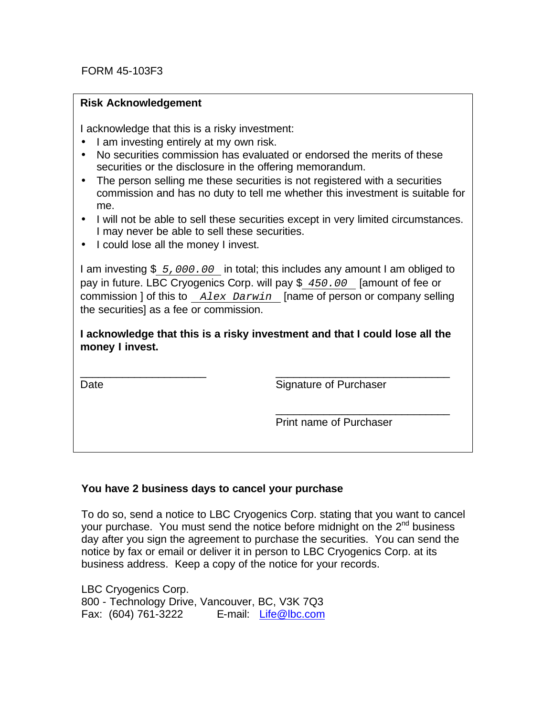# **Risk Acknowledgement Risk Acknowledgement**

I acknowledge that this is a risky investment: I acknowledge that this is a risky investment:

- I am investing entirely at my own risk. I am investing entirely at my own risk.
- No securities commission has evaluated or endorsed the merits of these securities or the disclosure in the offering memorandum.
- The person selling me these securities is not registered with a securities commission and has no duty to tell me whether this investment is suitable for commission and has no duty to tell me whether this investment is suitable for me.<br>... • The person selling me these securities is not registered with a securities me.
- I will not be able to sell these securities except in very limited circumstances.<br>
I we use we also able to sell these securities I may never be able to sell these securities. I may never be able to sell these securities.
- I could lose all the money I invest. I could lose all the money I invest.

I am investing \$ 5,000.00 in total; this includes any amount I am obliged to <br>I am in fetture 1.00 Openantia Osmaniill nov \$ 1.50,000 **Ferture of fetture** pay in future. LBC Cryogenics Corp. will pay \$ *450.00* [amount of fee or pay in future. LBC Cryogenics Corp. will pay \$ *450.00* [amount of fee or commission ] of this to *Alex Darwin* [name of person or company selling commission ] of this to *Alex Darwin* [name of person or company selling the securities] as a fee or commission. the securities] as a fee or commission.

**I acknowledge that this is a risky investment and that I could lose all the I acknowledge that this is a risky investment and that I could lose all the money I invest. money I invest.**

\_\_\_\_\_\_\_\_\_\_\_\_\_\_\_\_\_\_\_\_\_ \_\_\_\_\_\_\_\_\_\_\_\_\_\_\_\_\_\_\_\_\_\_\_\_\_\_\_\_\_

 $\overline{\phantom{a}}$ Date **Signature of Purchaser** 

> $\blacksquare$ Print name of Purchaser Print name of Purchaser

> \_\_\_\_\_\_\_\_\_\_\_\_\_\_\_\_\_\_\_\_\_\_\_\_\_\_\_\_\_

### **You have 2 business days to cancel your purchase**

To do so, send a notice to LBC Cryogenics Corp. stating that you want to cancel your purchase. You must send the notice before midnight on the  $2<sup>nd</sup>$  business day after you sign the agreement to purchase the securities. You can send the notice by fax or email or deliver it in person to LBC Cryogenics Corp. at its business address. Keep a copy of the notice for your records.

LBC Cryogenics Corp. 800 - Technology Drive, Vancouver, BC, V3K 7Q3 Fax: (604) 761-3222 E-mail: Life@lbc.com